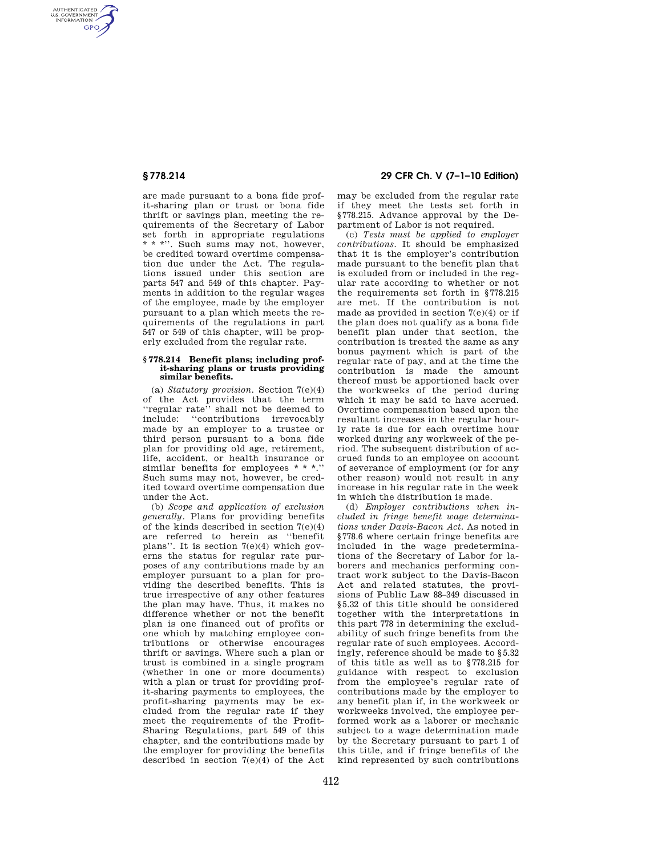AUTHENTICATED<br>U.S. GOVERNMENT<br>INFORMATION **GPO** 

> are made pursuant to a bona fide profit-sharing plan or trust or bona fide thrift or savings plan, meeting the requirements of the Secretary of Labor set forth in appropriate regulations \* \* \*''. Such sums may not, however, be credited toward overtime compensation due under the Act. The regulations issued under this section are parts 547 and 549 of this chapter. Payments in addition to the regular wages of the employee, made by the employer pursuant to a plan which meets the requirements of the regulations in part 547 or 549 of this chapter, will be properly excluded from the regular rate.

## **§ 778.214 Benefit plans; including profit-sharing plans or trusts providing similar benefits.**

(a) *Statutory provision.* Section 7(e)(4) of the Act provides that the term ''regular rate'' shall not be deemed to include: ''contributions irrevocably made by an employer to a trustee or third person pursuant to a bona fide plan for providing old age, retirement, life, accident, or health insurance or similar benefits for employees \* \* \*.' Such sums may not, however, be credited toward overtime compensation due under the Act.

(b) *Scope and application of exclusion generally.* Plans for providing benefits of the kinds described in section 7(e)(4) are referred to herein as ''benefit plans''. It is section 7(e)(4) which governs the status for regular rate purposes of any contributions made by an employer pursuant to a plan for providing the described benefits. This is true irrespective of any other features the plan may have. Thus, it makes no difference whether or not the benefit plan is one financed out of profits or one which by matching employee contributions or otherwise encourages thrift or savings. Where such a plan or trust is combined in a single program (whether in one or more documents) with a plan or trust for providing profit-sharing payments to employees, the profit-sharing payments may be excluded from the regular rate if they meet the requirements of the Profit-Sharing Regulations, part 549 of this chapter, and the contributions made by the employer for providing the benefits described in section 7(e)(4) of the Act

# **§ 778.214 29 CFR Ch. V (7–1–10 Edition)**

may be excluded from the regular rate if they meet the tests set forth in §778.215. Advance approval by the Department of Labor is not required.

(c) *Tests must be applied to employer contributions.* It should be emphasized that it is the employer's contribution made pursuant to the benefit plan that is excluded from or included in the regular rate according to whether or not the requirements set forth in §778.215 are met. If the contribution is not made as provided in section 7(e)(4) or if the plan does not qualify as a bona fide benefit plan under that section, the contribution is treated the same as any bonus payment which is part of the regular rate of pay, and at the time the contribution is made the amount thereof must be apportioned back over the workweeks of the period during which it may be said to have accrued. Overtime compensation based upon the resultant increases in the regular hourly rate is due for each overtime hour worked during any workweek of the period. The subsequent distribution of accrued funds to an employee on account of severance of employment (or for any other reason) would not result in any increase in his regular rate in the week in which the distribution is made.

(d) *Employer contributions when included in fringe benefit wage determinations under Davis-Bacon Act.* As noted in §778.6 where certain fringe benefits are included in the wage predeterminations of the Secretary of Labor for laborers and mechanics performing contract work subject to the Davis-Bacon Act and related statutes, the provisions of Public Law 88–349 discussed in §5.32 of this title should be considered together with the interpretations in this part 778 in determining the excludability of such fringe benefits from the regular rate of such employees. Accordingly, reference should be made to §5.32 of this title as well as to §778.215 for guidance with respect to exclusion from the employee's regular rate of contributions made by the employer to any benefit plan if, in the workweek or workweeks involved, the employee performed work as a laborer or mechanic subject to a wage determination made by the Secretary pursuant to part 1 of this title, and if fringe benefits of the kind represented by such contributions